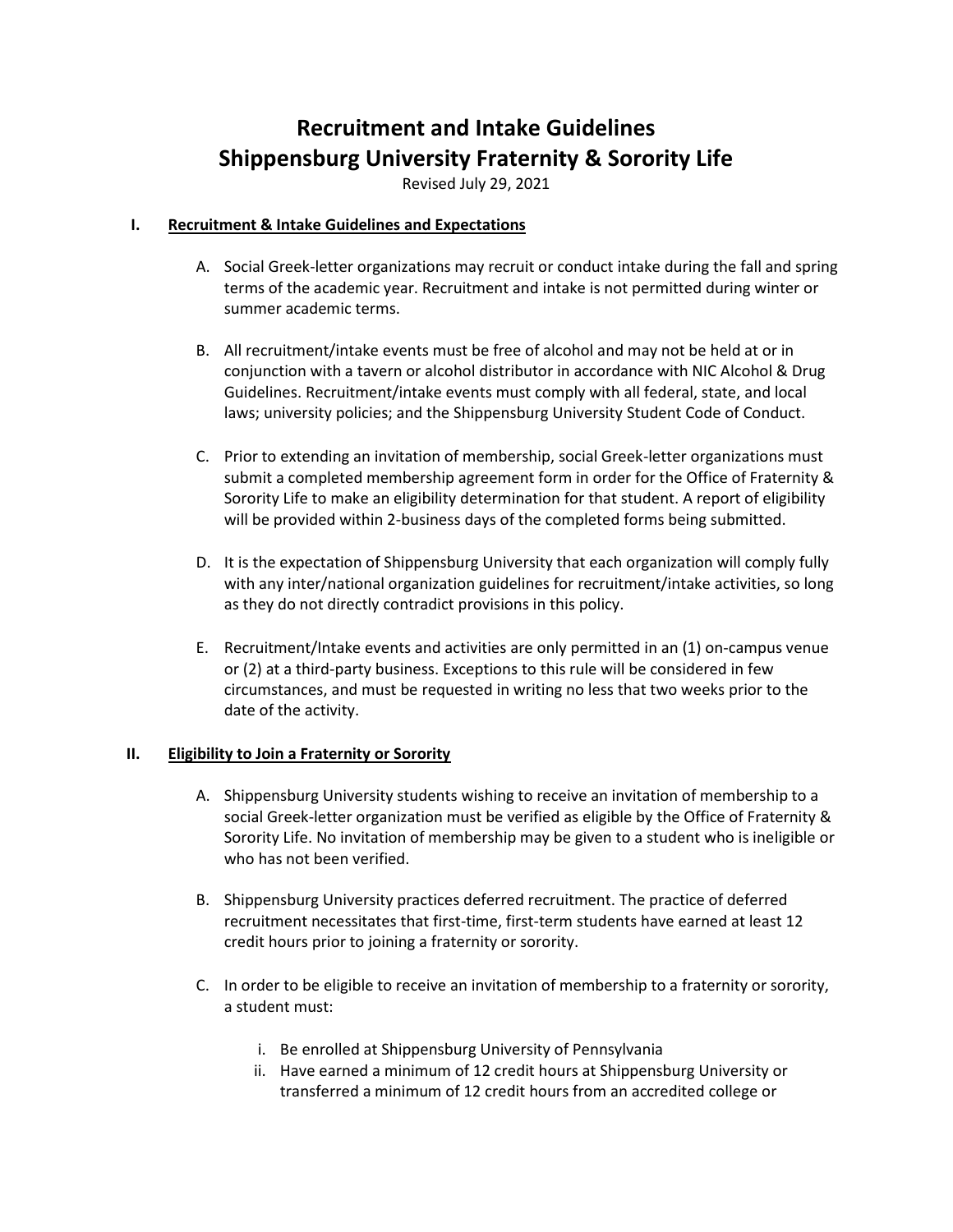# **Recruitment and Intake Guidelines Shippensburg University Fraternity & Sorority Life**

Revised July 29, 2021

### **I. Recruitment & Intake Guidelines and Expectations**

- A. Social Greek-letter organizations may recruit or conduct intake during the fall and spring terms of the academic year. Recruitment and intake is not permitted during winter or summer academic terms.
- B. All recruitment/intake events must be free of alcohol and may not be held at or in conjunction with a tavern or alcohol distributor in accordance with NIC Alcohol & Drug Guidelines. Recruitment/intake events must comply with all federal, state, and local laws; university policies; and the Shippensburg University Student Code of Conduct.
- C. Prior to extending an invitation of membership, social Greek-letter organizations must submit a completed membership agreement form in order for the Office of Fraternity & Sorority Life to make an eligibility determination for that student. A report of eligibility will be provided within 2-business days of the completed forms being submitted.
- D. It is the expectation of Shippensburg University that each organization will comply fully with any inter/national organization guidelines for recruitment/intake activities, so long as they do not directly contradict provisions in this policy.
- E. Recruitment/Intake events and activities are only permitted in an (1) on-campus venue or (2) at a third-party business. Exceptions to this rule will be considered in few circumstances, and must be requested in writing no less that two weeks prior to the date of the activity.

## **II. Eligibility to Join a Fraternity or Sorority**

- A. Shippensburg University students wishing to receive an invitation of membership to a social Greek-letter organization must be verified as eligible by the Office of Fraternity & Sorority Life. No invitation of membership may be given to a student who is ineligible or who has not been verified.
- B. Shippensburg University practices deferred recruitment. The practice of deferred recruitment necessitates that first-time, first-term students have earned at least 12 credit hours prior to joining a fraternity or sorority.
- C. In order to be eligible to receive an invitation of membership to a fraternity or sorority, a student must:
	- i. Be enrolled at Shippensburg University of Pennsylvania
	- ii. Have earned a minimum of 12 credit hours at Shippensburg University or transferred a minimum of 12 credit hours from an accredited college or